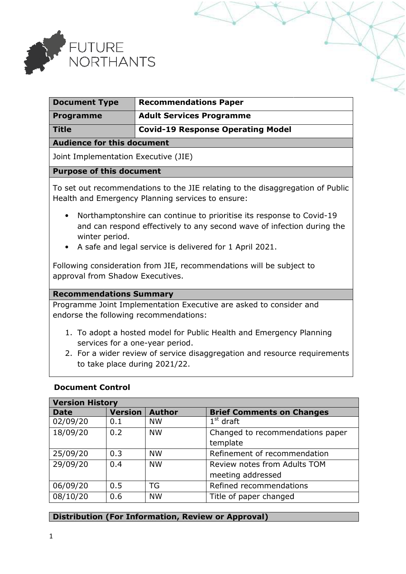

| <b>Document Type</b>          | <b>Recommendations Paper</b>             |  |
|-------------------------------|------------------------------------------|--|
| <b>Programme</b>              | <b>Adult Services Programme</b>          |  |
| <b>Title</b>                  | <b>Covid-19 Response Operating Model</b> |  |
| Andieuse fau this descurs aut |                                          |  |

#### **Audience for this document**

Joint Implementation Executive (JIE)

#### **Purpose of this document**

To set out recommendations to the JIE relating to the disaggregation of Public Health and Emergency Planning services to ensure:

- Northamptonshire can continue to prioritise its response to Covid Covid-19 and can respond effectively to any second wave of infection during the winter period.
- A safe and legal service is delivered for 1 April 2021.

Following consideration from JIE, recommendations will be subject to approval from Shadow Executives.

#### **Recommendations Summary**

Programme Joint Implementation Executive are asked to consider and endorse the following recommendations:

- 1. To adopt a hosted model for Public Health and Emergency Planning services for a one-year period.
- 2. For a wider review of service disaggregation and resource requirements to take place during 2021/22.

#### **Document Control**

| <b>Version History</b> |                |               |                                  |  |  |
|------------------------|----------------|---------------|----------------------------------|--|--|
| <b>Date</b>            | <b>Version</b> | <b>Author</b> | <b>Brief Comments on Changes</b> |  |  |
| 02/09/20               | 0.1            | <b>NW</b>     | $1st$ draft                      |  |  |
| 18/09/20               | 0.2            | <b>NW</b>     | Changed to recommendations paper |  |  |
|                        |                |               | template                         |  |  |
| 25/09/20               | 0.3            | <b>NW</b>     | Refinement of recommendation     |  |  |
| 29/09/20               | 0.4            | <b>NW</b>     | Review notes from Adults TOM     |  |  |
|                        |                |               | meeting addressed                |  |  |
| 06/09/20               | 0.5            | TG            | Refined recommendations          |  |  |
| 08/10/20               | 0.6            | <b>NW</b>     | Title of paper changed           |  |  |

## **Distribution (For Information, Review or Approval)**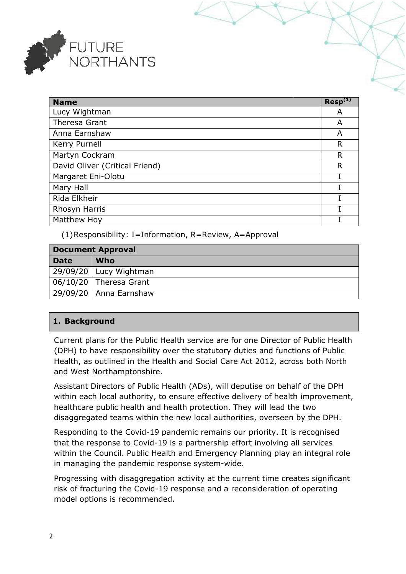

| <b>Name</b>                    | $Resp^{(1)}$ |
|--------------------------------|--------------|
| Lucy Wightman                  | A            |
| Theresa Grant                  | A            |
| Anna Earnshaw                  | A            |
| Kerry Purnell                  | R            |
| Martyn Cockram                 | R            |
| David Oliver (Critical Friend) | R            |
| Margaret Eni-Olotu             | I            |
| Mary Hall                      |              |
| Rida Elkheir                   |              |
| Rhosyn Harris                  |              |
| Matthew Hoy                    |              |

(1)Responsibility: I=Information, R=Review, A=Approval

| $(1)$ Responsibility: I=Information, R=Review, A=Approval                         |                      |  |
|-----------------------------------------------------------------------------------|----------------------|--|
| <b>Document Approval</b>                                                          |                      |  |
| <b>Date</b>                                                                       | <b>Who</b>           |  |
| 29/09/20                                                                          | Lucy Wightman        |  |
| 06/10/20                                                                          | <b>Theresa Grant</b> |  |
| 29/09/20                                                                          | Anna Earnshaw        |  |
|                                                                                   |                      |  |
| 1. Background                                                                     |                      |  |
| Current plans for the Public Health service are for one Director of Public Health |                      |  |

# **1. Background**

Current plans for the Public Health service are for one Director of Public Health Current plans for the Public Health service are for one Director of Public Healt<br>(DPH) to have responsibility over the statutory duties and functions of Public Health, as outlined in the Health and Social Care Act 2012, across both North and West Northamptonshire.

Assistant Directors of Public Health (ADs), will deputise on behalf of the DPH within each local authority, to ensure effective delivery of health improvement, healthcare public health and health protection. They will lead the disaggregated teams within the new local authorities, overseen by the DPH. ise on behalf of th<br>ery of health impre<br>will lead the two

Responding to the Covid-19 pandemic remains our priority. It is recognised that the response to Covid-19 is a partnership effort involving all services within the Council. Public Health and Emergency Planning play an integral role in managing the pandemic response system-wide. . It is recognised<br>ring all services<br>play an integral role<br>e creates significant

Progressing with disaggregation activity at the current time creates significant risk of fracturing the Covid-19 response and a reconsideration of operating model options is recommended.